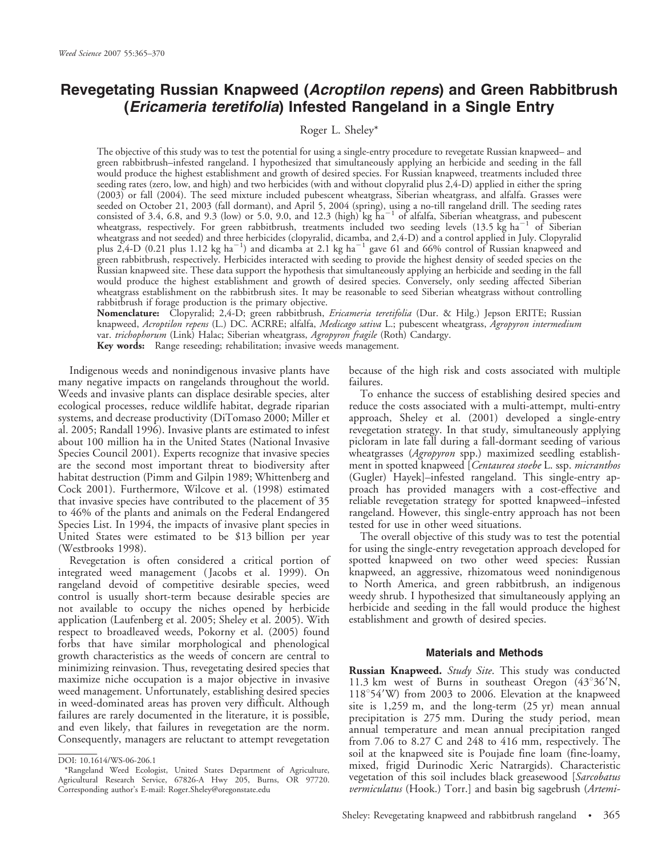# Revegetating Russian Knapweed (Acroptilon repens) and Green Rabbitbrush (Ericameria teretifolia) Infested Rangeland in a Single Entry

## Roger L. Sheley\*

The objective of this study was to test the potential for using a single-entry procedure to revegetate Russian knapweed– and green rabbitbrush–infested rangeland. I hypothesized that simultaneously applying an herbicide and seeding in the fall would produce the highest establishment and growth of desired species. For Russian knapweed, treatments included three seeding rates (zero, low, and high) and two herbicides (with and without clopyralid plus 2,4-D) applied in either the spring (2003) or fall (2004). The seed mixture included pubescent wheatgrass, Siberian wheatgrass, and alfalfa. Grasses were seeded on October 21, 2003 (fall dormant), and April 5, 2004 (spring), using a no-till rangeland drill. The seeding rates<br>consisted of 3.4, 6.8, and 9.3 (low) or 5.0, 9.0, and 12.3 (high) kg ha<sup>–1</sup> of alfalfa, Siberian whe wheatgrass, respectively. For green rabbitbrush, treatments included two seeding levels (13.5  $\rm kg$  ha<sup>-1</sup> of Siberian wheatgrass and not seeded) and three herbicides (clopyralid, dicamba, and 2,4-D) and a control applied in July. Clopyralid plus 2,4-D (0.21 plus 1.12 kg ha<sup>-1</sup>) and dicamba at 2.1 kg ha<sup>-1</sup> gave 61 and 66% control of Russian knapweed and green rabbitbrush, respectively. Herbicides interacted with seeding to provide the highest density of seeded species on the Russian knapweed site. These data support the hypothesis that simultaneously applying an herbicide and seeding in the fall would produce the highest establishment and growth of desired species. Conversely, only seeding affected Siberian wheatgrass establishment on the rabbitbrush sites. It may be reasonable to seed Siberian wheatgrass without controlling rabbitbrush if forage production is the primary objective.

**Nomenclature:** Clopyralid; 2,4-D; green rabbitbrush, *Ericameria teretifolia* (Dur. & Hilg.) Jepson ERITE; Russian knapweed, *Acroptilon repens* (L.) DC. ACRRE; alfalfa, *Medicago sativa* L.; pubescent wheatgrass, *Agropyron intermedium* var. trichophorum (Link) Halac; Siberian wheatgrass, Agropyron fragile (Roth) Candargy. Key words: Range reseeding; rehabilitation; invasive weeds management.

Indigenous weeds and nonindigenous invasive plants have many negative impacts on rangelands throughout the world. Weeds and invasive plants can displace desirable species, alter ecological processes, reduce wildlife habitat, degrade riparian systems, and decrease productivity (DiTomaso 2000; Miller et al. 2005; Randall 1996). Invasive plants are estimated to infest about 100 million ha in the United States (National Invasive Species Council 2001). Experts recognize that invasive species are the second most important threat to biodiversity after habitat destruction (Pimm and Gilpin 1989; Whittenberg and Cock 2001). Furthermore, Wilcove et al. (1998) estimated that invasive species have contributed to the placement of 35 to 46% of the plants and animals on the Federal Endangered Species List. In 1994, the impacts of invasive plant species in United States were estimated to be \$13 billion per year (Westbrooks 1998).

Revegetation is often considered a critical portion of integrated weed management ( Jacobs et al. 1999). On rangeland devoid of competitive desirable species, weed control is usually short-term because desirable species are not available to occupy the niches opened by herbicide application (Laufenberg et al. 2005; Sheley et al. 2005). With respect to broadleaved weeds, Pokorny et al. (2005) found forbs that have similar morphological and phenological growth characteristics as the weeds of concern are central to minimizing reinvasion. Thus, revegetating desired species that maximize niche occupation is a major objective in invasive weed management. Unfortunately, establishing desired species in weed-dominated areas has proven very difficult. Although failures are rarely documented in the literature, it is possible, and even likely, that failures in revegetation are the norm. Consequently, managers are reluctant to attempt revegetation

because of the high risk and costs associated with multiple failures.

To enhance the success of establishing desired species and reduce the costs associated with a multi-attempt, multi-entry approach, Sheley et al. (2001) developed a single-entry revegetation strategy. In that study, simultaneously applying picloram in late fall during a fall-dormant seeding of various wheatgrasses (Agropyron spp.) maximized seedling establishment in spotted knapweed [Centaurea stoebe L. ssp. micranthos (Gugler) Hayek]–infested rangeland. This single-entry approach has provided managers with a cost-effective and reliable revegetation strategy for spotted knapweed–infested rangeland. However, this single-entry approach has not been tested for use in other weed situations.

The overall objective of this study was to test the potential for using the single-entry revegetation approach developed for spotted knapweed on two other weed species: Russian knapweed, an aggressive, rhizomatous weed nonindigenous to North America, and green rabbitbrush, an indigenous weedy shrub. I hypothesized that simultaneously applying an herbicide and seeding in the fall would produce the highest establishment and growth of desired species.

#### Materials and Methods

Russian Knapweed. Study Site. This study was conducted 11.3 km west of Burns in southeast Oregon  $(43^{\circ}36^{\prime}N,$  $118°54'$ W) from 2003 to 2006. Elevation at the knapweed site is 1,259 m, and the long-term (25 yr) mean annual precipitation is 275 mm. During the study period, mean annual temperature and mean annual precipitation ranged from 7.06 to 8.27 C and 248 to 416 mm, respectively. The soil at the knapweed site is Poujade fine loam (fine-loamy, mixed, frigid Durinodic Xeric Natrargids). Characteristic vegetation of this soil includes black greasewood [Sarcobatus *vermiculatus* (Hook.) Torr.] and basin big sagebrush (*Artemi*-

DOI: 10.1614/WS-06-206.1

<sup>\*</sup>Rangeland Weed Ecologist, United States Department of Agriculture, Agricultural Research Service, 67826-A Hwy 205, Burns, OR 97720. Corresponding author's E-mail: Roger.Sheley@oregonstate.edu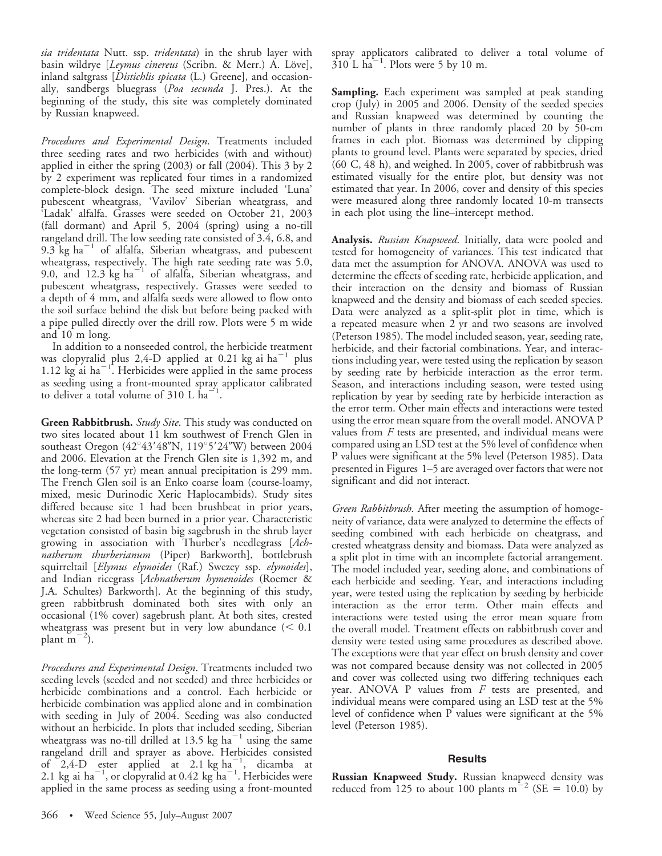sia tridentata Nutt. ssp. tridentata) in the shrub layer with basin wildrye [Leymus cinereus (Scribn. & Merr.) A. Löve], inland saltgrass [Distichlis spicata (L.) Greene], and occasionally, sandbergs bluegrass (Poa secunda J. Pres.). At the beginning of the study, this site was completely dominated by Russian knapweed.

Procedures and Experimental Design. Treatments included three seeding rates and two herbicides (with and without) applied in either the spring (2003) or fall (2004). This 3 by 2 by 2 experiment was replicated four times in a randomized complete-block design. The seed mixture included 'Luna' pubescent wheatgrass, 'Vavilov' Siberian wheatgrass, and 'Ladak' alfalfa. Grasses were seeded on October 21, 2003 (fall dormant) and April 5, 2004 (spring) using a no-till rangeland drill. The low seeding rate consisted of 3.4, 6.8, and 9.3 kg  $ha^{-1}$  of alfalfa, Siberian wheatgrass, and pubescent wheatgrass, respectively. The high rate seeding rate was 5.0, 9.0, and  $12.3$  kg ha<sup>-1</sup> of alfalfa, Siberian wheatgrass, and pubescent wheatgrass, respectively. Grasses were seeded to a depth of 4 mm, and alfalfa seeds were allowed to flow onto the soil surface behind the disk but before being packed with a pipe pulled directly over the drill row. Plots were 5 m wide and 10 m long.

In addition to a nonseeded control, the herbicide treatment was clopyralid plus 2,4-D applied at 0.21 kg ai  $\mathrm{ha}^{-1}$  plus 1.12  $\text{kg}$  ai ha<sup>-1</sup>. Herbicides were applied in the same process as seeding using a front-mounted spray applicator calibrated to deliver a total volume of  $310 \text{ L} \text{ ha}^{-1}$ .

Green Rabbitbrush. Study Site. This study was conducted on two sites located about 11 km southwest of French Glen in southeast Oregon (42°43'48"N, 119°5'24"W) between 2004 and 2006. Elevation at the French Glen site is 1,392 m, and the long-term (57 yr) mean annual precipitation is 299 mm. The French Glen soil is an Enko coarse loam (course-loamy, mixed, mesic Durinodic Xeric Haplocambids). Study sites differed because site 1 had been brushbeat in prior years, whereas site 2 had been burned in a prior year. Characteristic vegetation consisted of basin big sagebrush in the shrub layer growing in association with Thurber's needlegrass [Achnatherum thurberianum (Piper) Barkworth], bottlebrush squirreltail [*Elymus elymoides* (Raf.) Swezey ssp. elymoides], and Indian ricegrass [Achnatherum hymenoides (Roemer & J.A. Schultes) Barkworth]. At the beginning of this study, green rabbitbrush dominated both sites with only an occasional (1% cover) sagebrush plant. At both sites, crested wheatgrass was present but in very low abundance  $(< 0.1$ plant  $m^{-2}$ ).

Procedures and Experimental Design. Treatments included two seeding levels (seeded and not seeded) and three herbicides or herbicide combinations and a control. Each herbicide or herbicide combination was applied alone and in combination with seeding in July of 2004. Seeding was also conducted without an herbicide. In plots that included seeding, Siberian wheatgrass was no-till drilled at 13.5 kg ha $^{-1}$  using the same rangeland drill and sprayer as above. Herbicides consisted of  $2,4$ -D ester applied at 2.1 kg ha<sup>-1</sup>, dicamba at 2.1 kg ai ha<sup>-1</sup>, or clopyralid at 0.42 kg ha<sup>-1</sup>. Herbicides were applied in the same process as seeding using a front-mounted spray applicators calibrated to deliver a total volume of  $310$  L ha<sup>-1</sup>. Plots were 5 by 10 m.

**Sampling.** Each experiment was sampled at peak standing crop (July) in 2005 and 2006. Density of the seeded species and Russian knapweed was determined by counting the number of plants in three randomly placed 20 by 50-cm frames in each plot. Biomass was determined by clipping plants to ground level. Plants were separated by species, dried (60 C, 48 h), and weighed. In 2005, cover of rabbitbrush was estimated visually for the entire plot, but density was not estimated that year. In 2006, cover and density of this species were measured along three randomly located 10-m transects in each plot using the line–intercept method.

Analysis. Russian Knapweed. Initially, data were pooled and tested for homogeneity of variances. This test indicated that data met the assumption for ANOVA. ANOVA was used to determine the effects of seeding rate, herbicide application, and their interaction on the density and biomass of Russian knapweed and the density and biomass of each seeded species. Data were analyzed as a split-split plot in time, which is a repeated measure when 2 yr and two seasons are involved (Peterson 1985). The model included season, year, seeding rate, herbicide, and their factorial combinations. Year, and interactions including year, were tested using the replication by season by seeding rate by herbicide interaction as the error term. Season, and interactions including season, were tested using replication by year by seeding rate by herbicide interaction as the error term. Other main effects and interactions were tested using the error mean square from the overall model. ANOVA P values from  $F$  tests are presented, and individual means were compared using an LSD test at the 5% level of confidence when P values were significant at the 5% level (Peterson 1985). Data presented in Figures 1–5 are averaged over factors that were not significant and did not interact.

Green Rabbitbrush. After meeting the assumption of homogeneity of variance, data were analyzed to determine the effects of seeding combined with each herbicide on cheatgrass, and crested wheatgrass density and biomass. Data were analyzed as a split plot in time with an incomplete factorial arrangement. The model included year, seeding alone, and combinations of each herbicide and seeding. Year, and interactions including year, were tested using the replication by seeding by herbicide interaction as the error term. Other main effects and interactions were tested using the error mean square from the overall model. Treatment effects on rabbitbrush cover and density were tested using same procedures as described above. The exceptions were that year effect on brush density and cover was not compared because density was not collected in 2005 and cover was collected using two differing techniques each year. ANOVA P values from F tests are presented, and individual means were compared using an LSD test at the 5% level of confidence when P values were significant at the 5% level (Peterson 1985).

## **Results**

Russian Knapweed Study. Russian knapweed density was reduced from 125 to about 100 plants  $m^{-2}$  (SE = 10.0) by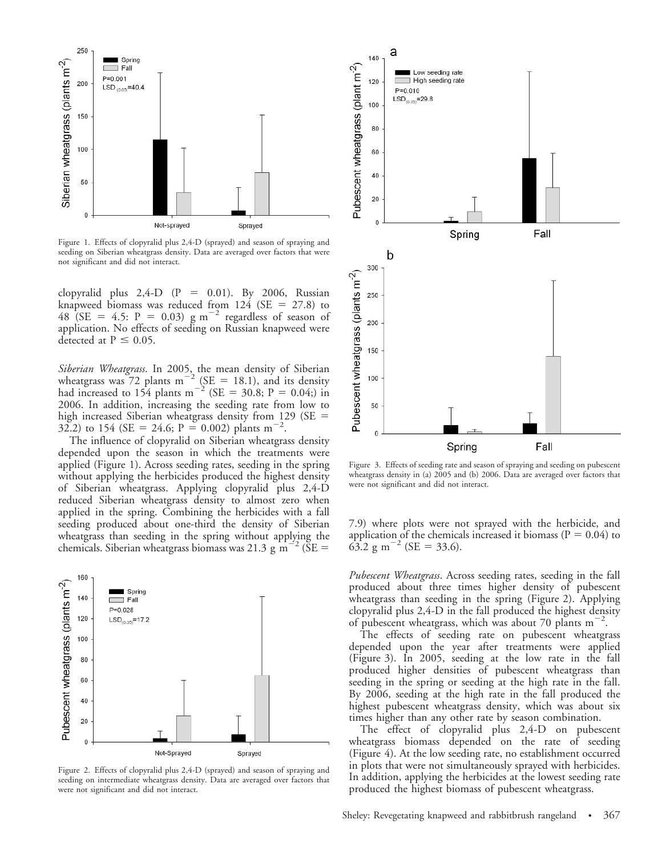

Figure 1. Effects of clopyralid plus 2,4-D (sprayed) and season of spraying and seeding on Siberian wheatgrass density. Data are averaged over factors that were not significant and did not interact.

clopyralid plus  $2,4-D$  (P = 0.01). By 2006, Russian knapweed biomass was reduced from  $124$  (SE = 27.8) to 48 (SE = 4.5: P = 0.03) g m<sup>-2</sup> regardless of season of application. No effects of seeding on Russian knapweed were detected at  $P \leq 0.05$ .

Siberian Wheatgrass. In 2005, the mean density of Siberian wheatgrass was  $72$  plants m<sup>-2</sup> (SE = 18.1), and its density had increased to 154 plants m<sup>-2</sup> (SE = 30.8; P = 0.04;) in 2006. In addition, increasing the seeding rate from low to high increased Siberian wheatgrass density from 129 (SE  $=$ 32.2) to 154 (SE = 24.6; P = 0.002) plants m<sup>-2</sup>.

The influence of clopyralid on Siberian wheatgrass density depended upon the season in which the treatments were applied (Figure 1). Across seeding rates, seeding in the spring without applying the herbicides produced the highest density of Siberian wheatgrass. Applying clopyralid plus 2,4-D reduced Siberian wheatgrass density to almost zero when applied in the spring. Combining the herbicides with a fall seeding produced about one-third the density of Siberian wheatgrass than seeding in the spring without applying the chemicals. Siberian wheatgrass biomass was 21.3 g  $m^{-2}$  (SE =



Figure 2. Effects of clopyralid plus 2,4-D (sprayed) and season of spraying and seeding on intermediate wheatgrass density. Data are averaged over factors that were not significant and did not interact.



Figure 3. Effects of seeding rate and season of spraying and seeding on pubescent wheatgrass density in (a) 2005 and (b) 2006. Data are averaged over factors that were not significant and did not interact.

7.9) where plots were not sprayed with the herbicide, and application of the chemicals increased it biomass ( $P = 0.04$ ) to  $63.2 \text{ g m}^{-2}$  (SE = 33.6).

Pubescent Wheatgrass. Across seeding rates, seeding in the fall produced about three times higher density of pubescent wheatgrass than seeding in the spring (Figure 2). Applying clopyralid plus 2,4-D in the fall produced the highest density of pubescent wheatgrass, which was about 70 plants  $m^{-2}$ .

The effects of seeding rate on pubescent wheatgrass depended upon the year after treatments were applied (Figure 3). In 2005, seeding at the low rate in the fall produced higher densities of pubescent wheatgrass than seeding in the spring or seeding at the high rate in the fall. By 2006, seeding at the high rate in the fall produced the highest pubescent wheatgrass density, which was about six times higher than any other rate by season combination.

The effect of clopyralid plus 2,4-D on pubescent wheatgrass biomass depended on the rate of seeding (Figure 4). At the low seeding rate, no establishment occurred in plots that were not simultaneously sprayed with herbicides. In addition, applying the herbicides at the lowest seeding rate produced the highest biomass of pubescent wheatgrass.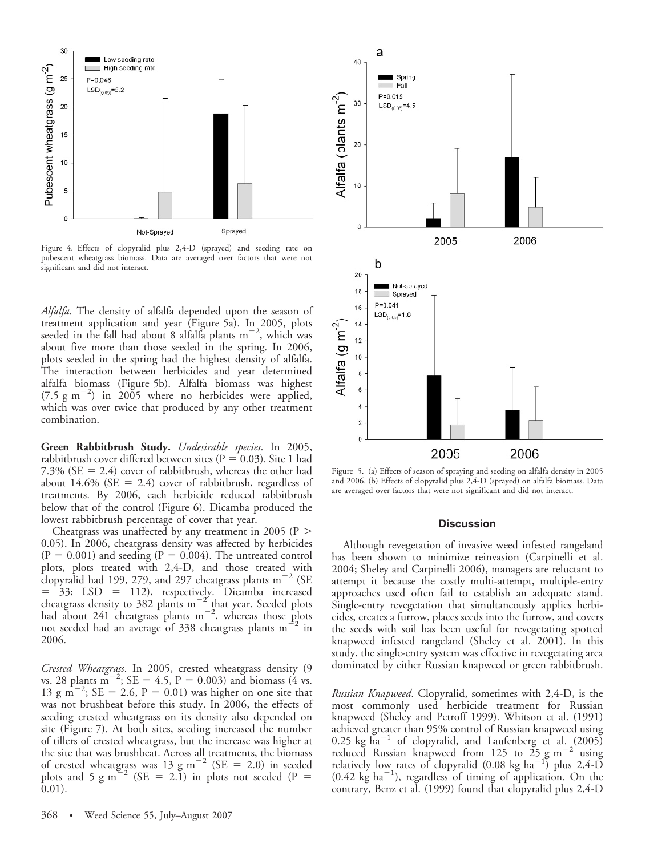

Figure 4. Effects of clopyralid plus 2,4-D (sprayed) and seeding rate on pubescent wheatgrass biomass. Data are averaged over factors that were not significant and did not interact.

Alfalfa. The density of alfalfa depended upon the season of treatment application and year (Figure 5a). In 2005, plots seeded in the fall had about 8 alfalfa plants  $m^{-2}$ , which was about five more than those seeded in the spring. In 2006, plots seeded in the spring had the highest density of alfalfa. The interaction between herbicides and year determined alfalfa biomass (Figure 5b). Alfalfa biomass was highest  $(7.5 \text{ g m}^{-2})$  in 2005 where no herbicides were applied, which was over twice that produced by any other treatment combination.

Green Rabbitbrush Study. Undesirable species. In 2005, rabbitbrush cover differed between sites ( $P = 0.03$ ). Site 1 had 7.3% ( $SE = 2.4$ ) cover of rabbitbrush, whereas the other had about 14.6% ( $SE = 2.4$ ) cover of rabbitbrush, regardless of treatments. By 2006, each herbicide reduced rabbitbrush below that of the control (Figure 6). Dicamba produced the lowest rabbitbrush percentage of cover that year.

Cheatgrass was unaffected by any treatment in 2005 ( $P >$ 0.05). In 2006, cheatgrass density was affected by herbicides  $(P = 0.001)$  and seeding  $(P = 0.004)$ . The untreated control plots, plots treated with 2,4-D, and those treated with clopyralid had 199, 279, and 297 cheatgrass plants  $m^{-2}$  (SE  $=$  33; LSD  $=$  112), respectively. Dicamba increased cheatgrass density to 382 plants  $m^{-2}$  that year. Seeded plots had about 241 cheatgrass plants  $m^{-2}$ , whereas those plots not seeded had an average of 338 cheatgrass plants  $m^{-2}$  in 2006.

Crested Wheatgrass. In 2005, crested wheatgrass density (9 vs. 28 plants  $\sin^{-2}$ ; SE = 4.5, P = 0.003) and biomass (4 vs. 13 g m<sup>-2</sup>; SE = 2.6, P = 0.01) was higher on one site that was not brushbeat before this study. In 2006, the effects of seeding crested wheatgrass on its density also depended on site (Figure 7). At both sites, seeding increased the number of tillers of crested wheatgrass, but the increase was higher at the site that was brushbeat. Across all treatments, the biomass of crested wheatgrass was 13 g m<sup>-2</sup> (SE = 2.0) in seeded plots and 5 g m<sup>2</sup> (SE = 2.1) in plots not seeded (P = 0.01).



Figure 5. (a) Effects of season of spraying and seeding on alfalfa density in 2005 and 2006. (b) Effects of clopyralid plus 2,4-D (sprayed) on alfalfa biomass. Data are averaged over factors that were not significant and did not interact.

#### **Discussion**

Although revegetation of invasive weed infested rangeland has been shown to minimize reinvasion (Carpinelli et al. 2004; Sheley and Carpinelli 2006), managers are reluctant to attempt it because the costly multi-attempt, multiple-entry approaches used often fail to establish an adequate stand. Single-entry revegetation that simultaneously applies herbicides, creates a furrow, places seeds into the furrow, and covers the seeds with soil has been useful for revegetating spotted knapweed infested rangeland (Sheley et al. 2001). In this study, the single-entry system was effective in revegetating area dominated by either Russian knapweed or green rabbitbrush.

Russian Knapweed. Clopyralid, sometimes with 2,4-D, is the most commonly used herbicide treatment for Russian knapweed (Sheley and Petroff 1999). Whitson et al. (1991) achieved greater than 95% control of Russian knapweed using  $0.25$  kg ha<sup>-1</sup> of clopyralid, and Laufenberg et al. (2005) reduced Russian knapweed from 125 to  $25 \text{ g m}^{-2}$  using relatively low rates of clopyralid  $(0.08 \text{ kg ha}^{-1})^{\circ}$  plus 2,4-D  $(0.42 \text{ kg ha}^{-1})$ , regardless of timing of application. On the contrary, Benz et al. (1999) found that clopyralid plus 2,4-D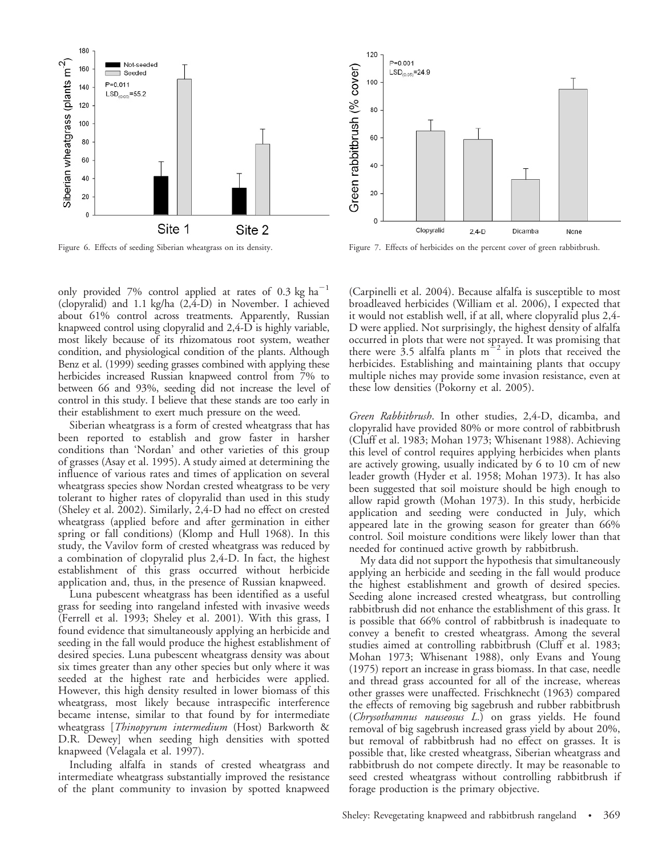

only provided 7% control applied at rates of 0.3 kg  $ha^{-1}$ (clopyralid) and 1.1 kg/ha (2,4-D) in November. I achieved about 61% control across treatments. Apparently, Russian knapweed control using clopyralid and 2,4-D is highly variable, most likely because of its rhizomatous root system, weather condition, and physiological condition of the plants. Although Benz et al. (1999) seeding grasses combined with applying these herbicides increased Russian knapweed control from 7% to between 66 and 93%, seeding did not increase the level of control in this study. I believe that these stands are too early in their establishment to exert much pressure on the weed.

Siberian wheatgrass is a form of crested wheatgrass that has been reported to establish and grow faster in harsher conditions than 'Nordan' and other varieties of this group of grasses (Asay et al. 1995). A study aimed at determining the influence of various rates and times of application on several wheatgrass species show Nordan crested wheatgrass to be very tolerant to higher rates of clopyralid than used in this study (Sheley et al. 2002). Similarly, 2,4-D had no effect on crested wheatgrass (applied before and after germination in either spring or fall conditions) (Klomp and Hull 1968). In this study, the Vavilov form of crested wheatgrass was reduced by a combination of clopyralid plus 2,4-D. In fact, the highest establishment of this grass occurred without herbicide application and, thus, in the presence of Russian knapweed.

Luna pubescent wheatgrass has been identified as a useful grass for seeding into rangeland infested with invasive weeds (Ferrell et al. 1993; Sheley et al. 2001). With this grass, I found evidence that simultaneously applying an herbicide and seeding in the fall would produce the highest establishment of desired species. Luna pubescent wheatgrass density was about six times greater than any other species but only where it was seeded at the highest rate and herbicides were applied. However, this high density resulted in lower biomass of this wheatgrass, most likely because intraspecific interference became intense, similar to that found by for intermediate wheatgrass [Thinopyrum intermedium (Host) Barkworth & D.R. Dewey] when seeding high densities with spotted knapweed (Velagala et al. 1997).

Including alfalfa in stands of crested wheatgrass and intermediate wheatgrass substantially improved the resistance of the plant community to invasion by spotted knapweed



Figure 6. Effects of seeding Siberian wheatgrass on its density. Figure 7. Effects of herbicides on the percent cover of green rabbitbrush.

(Carpinelli et al. 2004). Because alfalfa is susceptible to most broadleaved herbicides (William et al. 2006), I expected that it would not establish well, if at all, where clopyralid plus 2,4- D were applied. Not surprisingly, the highest density of alfalfa occurred in plots that were not sprayed. It was promising that there were 3.5 alfalfa plants  $m^{-2}$  in plots that received the herbicides. Establishing and maintaining plants that occupy multiple niches may provide some invasion resistance, even at these low densities (Pokorny et al. 2005).

Green Rabbitbrush. In other studies, 2,4-D, dicamba, and clopyralid have provided 80% or more control of rabbitbrush (Cluff et al. 1983; Mohan 1973; Whisenant 1988). Achieving this level of control requires applying herbicides when plants are actively growing, usually indicated by 6 to 10 cm of new leader growth (Hyder et al. 1958; Mohan 1973). It has also been suggested that soil moisture should be high enough to allow rapid growth (Mohan 1973). In this study, herbicide application and seeding were conducted in July, which appeared late in the growing season for greater than 66% control. Soil moisture conditions were likely lower than that needed for continued active growth by rabbitbrush.

My data did not support the hypothesis that simultaneously applying an herbicide and seeding in the fall would produce the highest establishment and growth of desired species. Seeding alone increased crested wheatgrass, but controlling rabbitbrush did not enhance the establishment of this grass. It is possible that 66% control of rabbitbrush is inadequate to convey a benefit to crested wheatgrass. Among the several studies aimed at controlling rabbitbrush (Cluff et al. 1983; Mohan 1973; Whisenant 1988), only Evans and Young (1975) report an increase in grass biomass. In that case, needle and thread grass accounted for all of the increase, whereas other grasses were unaffected. Frischknecht (1963) compared the effects of removing big sagebrush and rubber rabbitbrush (Chrysothamnus nauseosus L.) on grass yields. He found removal of big sagebrush increased grass yield by about 20%, but removal of rabbitbrush had no effect on grasses. It is possible that, like crested wheatgrass, Siberian wheatgrass and rabbitbrush do not compete directly. It may be reasonable to seed crested wheatgrass without controlling rabbitbrush if forage production is the primary objective.